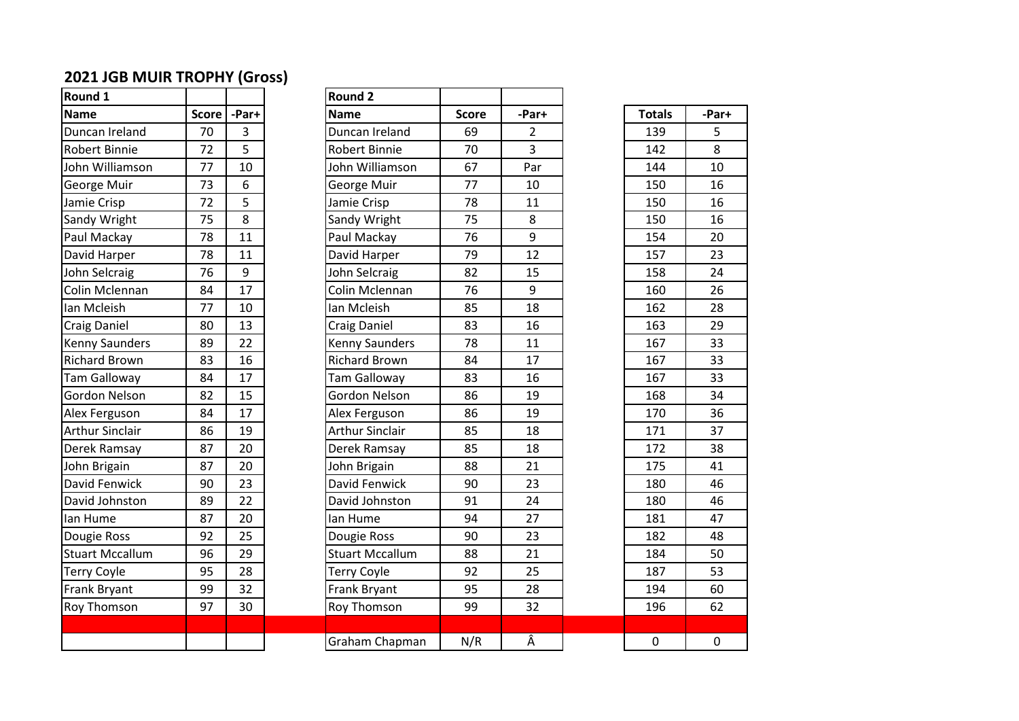## **2021 JGB MUIR TROPHY (Gross)**

| Round 1                |              |       | Round <sub>2</sub> |
|------------------------|--------------|-------|--------------------|
| <b>Name</b>            | <b>Score</b> | -Par+ | <b>Name</b>        |
| Duncan Ireland         | 70           | 3     | Duncan             |
| Robert Binnie          | 72           | 5     | Robert B           |
| John Williamson        | 77           | 10    | John Wil           |
| George Muir            | 73           | 6     | George I           |
| Jamie Crisp            | 72           | 5     | Jamie Cr           |
| Sandy Wright           | 75           | 8     | Sandy W            |
| Paul Mackay            | 78           | 11    | Paul Ma            |
| David Harper           | 78           | 11    | David Ha           |
| John Selcraig          | 76           | 9     | John Sel           |
| Colin Mclennan         | 84           | 17    | Colin Mo           |
| Ian Mcleish            | 77           | 10    | Ian Mcle           |
| <b>Craig Daniel</b>    | 80           | 13    | Craig Da           |
| Kenny Saunders         | 89           | 22    | Kenny Sa           |
| <b>Richard Brown</b>   | 83           | 16    | Richard            |
| <b>Tam Galloway</b>    | 84           | 17    | Tam Gal            |
| Gordon Nelson          | 82           | 15    | Gordon             |
| Alex Ferguson          | 84           | 17    | Alex Ferg          |
| <b>Arthur Sinclair</b> | 86           | 19    | Arthur S           |
| Derek Ramsay           | 87           | 20    | Derek Ra           |
| John Brigain           | 87           | 20    | John Brig          |
| David Fenwick          | 90           | 23    | David Fe           |
| David Johnston         | 89           | 22    | David Jo           |
| lan Hume               | 87           | 20    | lan Hum            |
| Dougie Ross            | 92           | 25    | Dougie F           |
| <b>Stuart Mccallum</b> | 96           | 29    | Stuart M           |
| <b>Terry Coyle</b>     | 95           | 28    | <b>Terry Co</b>    |
| Frank Bryant           | 99           | 32    | Frank Br           |
| <b>Roy Thomson</b>     | 97           | 30    | Roy Tho            |
|                        |              |       |                    |
|                        |              |       | C <sub>rs</sub>    |

| Round 1                |              |       | <b>Round 2</b>         |              |                |               |              |
|------------------------|--------------|-------|------------------------|--------------|----------------|---------------|--------------|
| <b>Name</b>            | <b>Score</b> | -Par+ | <b>Name</b>            | <b>Score</b> | -Par+          | <b>Totals</b> | -Par+        |
| Duncan Ireland         | 70           | 3     | Duncan Ireland         | 69           | 2              | 139           | 5            |
| Robert Binnie          | 72           | 5     | <b>Robert Binnie</b>   | 70           | $\overline{3}$ | 142           | 8            |
| John Williamson        | 77           | 10    | John Williamson        | 67           | Par            | 144           | 10           |
| George Muir            | 73           | 6     | George Muir            | 77           | 10             | 150           | 16           |
| Jamie Crisp            | 72           | 5     | Jamie Crisp            | 78           | 11             | 150           | 16           |
| Sandy Wright           | 75           | 8     | Sandy Wright           | 75           | 8              | 150           | 16           |
| Paul Mackay            | 78           | 11    | Paul Mackay            | 76           | 9              | 154           | 20           |
| David Harper           | 78           | 11    | David Harper           | 79           | 12             | 157           | 23           |
| John Selcraig          | 76           | 9     | John Selcraig          | 82           | 15             | 158           | 24           |
| Colin Mclennan         | 84           | 17    | Colin Mclennan         | 76           | 9              | 160           | 26           |
| lan Mcleish            | 77           | 10    | Ian Mcleish            | 85           | 18             | 162           | 28           |
| Craig Daniel           | 80           | 13    | <b>Craig Daniel</b>    | 83           | 16             | 163           | 29           |
| Kenny Saunders         | 89           | 22    | <b>Kenny Saunders</b>  | 78           | 11             | 167           | 33           |
| <b>Richard Brown</b>   | 83           | 16    | <b>Richard Brown</b>   | 84           | 17             | 167           | 33           |
| Tam Galloway           | 84           | 17    | <b>Tam Galloway</b>    | 83           | 16             | 167           | 33           |
| Gordon Nelson          | 82           | 15    | Gordon Nelson          | 86           | 19             | 168           | 34           |
| Alex Ferguson          | 84           | 17    | Alex Ferguson          | 86           | 19             | 170           | 36           |
| Arthur Sinclair        | 86           | 19    | <b>Arthur Sinclair</b> | 85           | 18             | 171           | 37           |
| Derek Ramsay           | 87           | 20    | Derek Ramsay           | 85           | 18             | 172           | 38           |
| John Brigain           | 87           | 20    | John Brigain           | 88           | 21             | 175           | 41           |
| David Fenwick          | 90           | 23    | David Fenwick          | 90           | 23             | 180           | 46           |
| David Johnston         | 89           | 22    | David Johnston         | 91           | 24             | 180           | 46           |
| lan Hume               | 87           | 20    | lan Hume               | 94           | 27             | 181           | 47           |
| Dougie Ross            | 92           | 25    | Dougie Ross            | 90           | 23             | 182           | 48           |
| <b>Stuart Mccallum</b> | 96           | 29    | <b>Stuart Mccallum</b> | 88           | 21             | 184           | 50           |
| Terry Coyle            | 95           | 28    | <b>Terry Coyle</b>     | 92           | 25             | 187           | 53           |
| Frank Bryant           | 99           | 32    | Frank Bryant           | 95           | 28             | 194           | 60           |
| Roy Thomson            | 97           | 30    | Roy Thomson            | 99           | 32             | 196           | 62           |
|                        |              |       |                        |              |                |               |              |
|                        |              |       | Graham Chapman         | N/R          | Â              | $\mathbf 0$   | $\mathsf{O}$ |

| <b>Totals</b> | -Par+ |
|---------------|-------|
| 139           | 5     |
| 142           | 8     |
| 144           | 10    |
| 150           | 16    |
| 150           | 16    |
| 150           | 16    |
| 154           | 20    |
| 157           | 23    |
| 158           | 24    |
| 160           | 26    |
| 162           | 28    |
| 163           | 29    |
| 167           | 33    |
| 167           | 33    |
| 167           | 33    |
| 168           | 34    |
| 170           | 36    |
| 171           | 37    |
| 172           | 38    |
| 175           | 41    |
| 180           | 46    |
| 180           | 46    |
| 181           | 47    |
| 182           | 48    |
| 184           | 50    |
| 187           | 53    |
| 194           | 60    |
| 196           | 62    |
|               |       |
| 0             | 0     |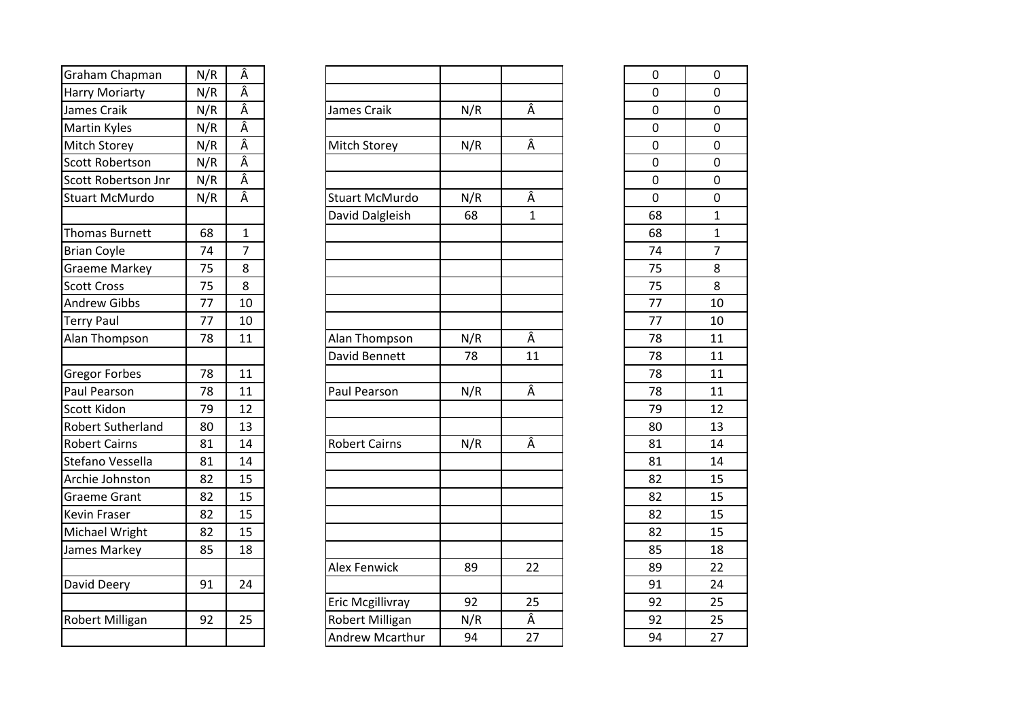| Graham Chapman           | N/R |                           |
|--------------------------|-----|---------------------------|
| <b>Harry Moriarty</b>    | N/R | $\frac{\hat{A}}{\hat{A}}$ |
| James Craik              | N/R | Â                         |
| <b>Martin Kyles</b>      | N/R |                           |
| Mitch Storey             | N/R | $\frac{\hat{A}}{\hat{A}}$ |
| <b>Scott Robertson</b>   | N/R |                           |
| Scott Robertson Jnr      | N/R | Â                         |
| <b>Stuart McMurdo</b>    | N/R | Â                         |
|                          |     |                           |
| <b>Thomas Burnett</b>    | 68  | $\overline{1}$            |
| <b>Brian Coyle</b>       | 74  | $\overline{7}$            |
| <b>Graeme Markey</b>     | 75  | 8                         |
| <b>Scott Cross</b>       | 75  | 8                         |
| <b>Andrew Gibbs</b>      | 77  | 10                        |
| <b>Terry Paul</b>        | 77  | 10                        |
| Alan Thompson            | 78  | 11                        |
|                          |     |                           |
| <b>Gregor Forbes</b>     | 78  | 11                        |
| Paul Pearson             | 78  | 11                        |
| Scott Kidon              | 79  | 12                        |
| <b>Robert Sutherland</b> | 80  | 13                        |
| <b>Robert Cairns</b>     | 81  | 14                        |
| Stefano Vessella         | 81  | 14                        |
| Archie Johnston          | 82  | 15                        |
| <b>Graeme Grant</b>      | 82  | 15                        |
| Kevin Fraser             | 82  | 15                        |
| Michael Wright           | 82  | 15                        |
| James Markey             | 85  | 18                        |
|                          |     |                           |
| David Deery              | 91  | 24                        |
|                          |     |                           |
| <b>Robert Milligan</b>   | 92  | 25                        |
|                          |     |                           |

| Graham Chapman         | N/R | Â            |                       |     |              | $\mathbf 0$ |  |
|------------------------|-----|--------------|-----------------------|-----|--------------|-------------|--|
| <b>Harry Moriarty</b>  | N/R | Â            |                       |     |              | $\mathbf 0$ |  |
| James Craik            | N/R | Â            | James Craik           | N/R | Â            | 0           |  |
| Martin Kyles           | N/R | Â            |                       |     |              | $\mathbf 0$ |  |
| Mitch Storey           | N/R | Â            | Mitch Storey          | N/R | Â            | $\mathbf 0$ |  |
| <b>Scott Robertson</b> | N/R | Â            |                       |     |              | $\mathbf 0$ |  |
| Scott Robertson Jnr    | N/R | Â            |                       |     |              | 0           |  |
| <b>Stuart McMurdo</b>  | N/R | Â            | <b>Stuart McMurdo</b> | N/R | Â            | $\mathbf 0$ |  |
|                        |     |              | David Dalgleish       | 68  | $\mathbf{1}$ | 68          |  |
| Thomas Burnett         | 68  | $\mathbf{1}$ |                       |     |              | 68          |  |
| <b>Brian Coyle</b>     | 74  | 7            |                       |     |              | 74          |  |
| <b>Graeme Markey</b>   | 75  | 8            |                       |     |              | 75          |  |
| <b>Scott Cross</b>     | 75  | 8            |                       |     |              | 75          |  |
| <b>Andrew Gibbs</b>    | 77  | 10           |                       |     |              | 77          |  |
| <b>Terry Paul</b>      | 77  | 10           |                       |     |              | 77          |  |
| Alan Thompson          | 78  | 11           | Alan Thompson         | N/R | Â            | 78          |  |
|                        |     |              | David Bennett         | 78  | 11           | 78          |  |
| Gregor Forbes          | 78  | 11           |                       |     |              | 78          |  |
| Paul Pearson           | 78  | 11           | Paul Pearson          | N/R | Â            | 78          |  |
| Scott Kidon            | 79  | 12           |                       |     |              | 79          |  |
| Robert Sutherland      | 80  | 13           |                       |     |              | 80          |  |
| <b>Robert Cairns</b>   | 81  | 14           | <b>Robert Cairns</b>  | N/R | Â            | 81          |  |
| Stefano Vessella       | 81  | 14           |                       |     |              | 81          |  |
| Archie Johnston        | 82  | 15           |                       |     |              | 82          |  |
| Graeme Grant           | 82  | 15           |                       |     |              | 82          |  |
| Kevin Fraser           | 82  | 15           |                       |     |              | 82          |  |
| Michael Wright         | 82  | 15           |                       |     |              | 82          |  |
| James Markey           | 85  | 18           |                       |     |              | 85          |  |
|                        |     |              | <b>Alex Fenwick</b>   | 89  | 22           | 89          |  |
| David Deery            | 91  | 24           |                       |     |              | 91          |  |
|                        |     |              | Eric Mcgillivray      | 92  | 25           | 92          |  |
| Robert Milligan        | 92  | 25           | Robert Milligan       | N/R | Â            | 92          |  |
|                        |     |              | Andrew Mcarthur       | 94  | 27           | 94          |  |
|                        |     |              |                       |     |              |             |  |

|                | 0  | 0              |
|----------------|----|----------------|
|                | 0  | 0              |
| Â              | 0  | 0              |
|                | 0  | 0              |
| Â              | 0  | 0              |
|                | 0  | 0              |
|                | 0  | 0              |
| Â              | 0  | 0              |
| $\overline{1}$ | 68 | $\overline{1}$ |
|                | 68 | $\overline{1}$ |
|                | 74 | 7              |
|                | 75 | 8              |
|                | 75 | 8              |
|                | 77 | 10             |
|                | 77 | 10             |
| Â              | 78 | 11             |
| $\overline{1}$ | 78 | 11             |
|                | 78 | 11             |
| Â              | 78 | 11             |
|                | 79 | 12             |
|                | 80 | 13             |
| Â              | 81 | 14             |
|                | 81 | 14             |
|                | 82 | 15             |
|                | 82 | 15             |
|                | 82 | 15             |
|                | 82 | 15             |
|                | 85 | 18             |
| $\overline{2}$ | 89 | 22             |
|                | 91 | 24             |
| $\frac{25}{1}$ | 92 | 25             |
| Â              | 92 | 25             |
| $\frac{1}{2}$  | 94 | 27             |
|                |    |                |